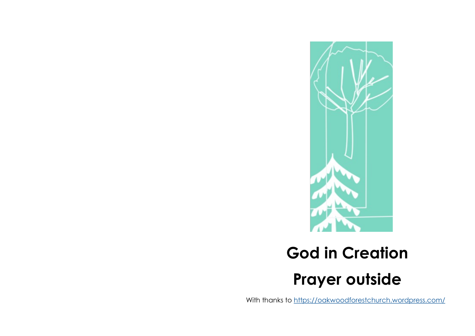

## **God in Creation Prayer outside**

With thanks to <https://oakwoodforestchurch.wordpress.com/>